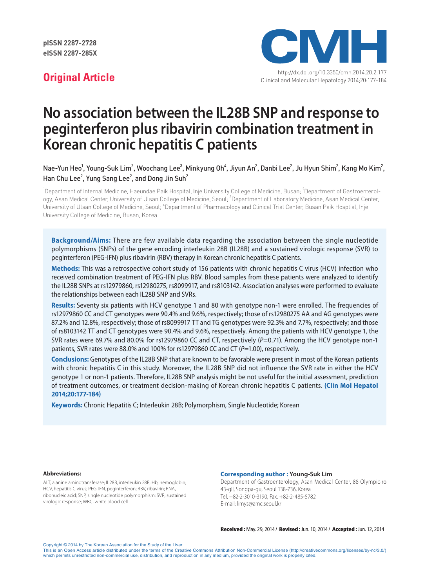

# **No association between the IL28B SNP and response to peginterferon plus ribavirin combination treatment in Korean chronic hepatitis C patients**

Nae-Yun Heo $^1$ , Young-Suk Lim $^2$ , Woochang Lee $^3$ , Minkyung Oh $^4$ , Jiyun An $^2$ , Danbi Lee $^2$ , Ju Hyun Shim $^2$ , Kang Mo Kim $^2$ , Han Chu Lee $^2$ , Yung Sang Lee $^2$ , and Dong Jin Suh $^2$ 

<sup>1</sup>Department of Internal Medicine, Haeundae Paik Hospital, Inje University College of Medicine, Busan; <sup>2</sup>Department of Gastroenterology, Asan Medical Center, University of Ulsan College of Medicine, Seoul; <sup>3</sup>Department of Laboratory Medicine, Asan Medical Center, University of Ulsan College of Medicine, Seoul; <sup>4</sup>Department of Pharmacology and Clinical Trial Center, Busan Paik Hosptial, Inje University College of Medicine, Busan, Korea

**Background/Aims:** There are few available data regarding the association between the single nucleotide polymorphisms (SNPs) of the gene encoding interleukin 28B (IL28B) and a sustained virologic response (SVR) to peginterferon (PEG-IFN) plus ribavirin (RBV) therapy in Korean chronic hepatitis C patients.

**Methods:** This was a retrospective cohort study of 156 patients with chronic hepatitis C virus (HCV) infection who received combination treatment of PEG-IFN plus RBV. Blood samples from these patients were analyzed to identify the IL28B SNPs at rs12979860, rs12980275, rs8099917, and rs8103142. Association analyses were performed to evaluate the relationships between each IL28B SNP and SVRs.

**Results:** Seventy six patients with HCV genotype 1 and 80 with genotype non-1 were enrolled. The frequencies of rs12979860 CC and CT genotypes were 90.4% and 9.6%, respectively; those of rs12980275 AA and AG genotypes were 87.2% and 12.8%, respectively; those of rs8099917 TT and TG genotypes were 92.3% and 7.7%, respectively; and those of rs8103142 TT and CT genotypes were 90.4% and 9.6%, respectively. Among the patients with HCV genotype 1, the SVR rates were 69.7% and 80.0% for rs12979860 CC and CT, respectively (*P*=0.71). Among the HCV genotype non-1 patients, SVR rates were 88.0% and 100% for rs12979860 CC and CT (P=1.00), respectively.

**Conclusions:** Genotypes of the IL28B SNP that are known to be favorable were present in most of the Korean patients with chronic hepatitis C in this study. Moreover, the IL28B SNP did not influence the SVR rate in either the HCV genotype 1 or non-1 patients. Therefore, IL28B SNP analysis might be not useful for the initial assessment, prediction of treatment outcomes, or treatment decision-making of Korean chronic hepatitis C patients. **(Clin Mol Hepatol 2014;20:177-184)**

**Keywords:** Chronic Hepatitis C; Interleukin 28B; Polymorphism, Single Nucleotide; Korean

#### **Abbreviations:**

ALT, alanine aminotransferase; IL28B, interleukin 28B; Hb, hemoglobin; HCV, hepatitis C virus; PEG-IFN, peginterferon; RBV, ribavirin; RNA, ribonucleic acid; SNP, single nucleotide polymorphism; SVR, sustained virologic response; WBC, white blood cell

#### **Corresponding author : Young-Suk Lim**

Department of Gastroenterology, Asan Medical Center, 88 Olympic-ro 43-gil, Songpa-gu, Seoul 138-736, Korea Tel. +82-2-3010-3190, Fax. +82-2-485-5782 E-mail; limys@amc.seoul.kr

Received : May. 29, 2014 / Revised : Jun. 10, 2014 / Accepted : Jun. 12, 2014

Copyright © 2014 by The Korean Association for the Study of the Liver

This is an Open Access article distributed under the terms of the Creative Commons Attribution Non-Commercial License (http://creativecommons.org/licenses/by-nc/3.0/) which permits unrestricted non-commercial use, distribution, and reproduction in any medium, provided the original work is properly cited.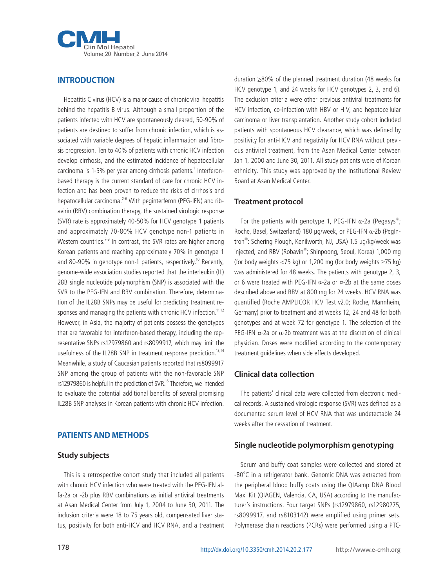

## **INTRODUCTION**

Hepatitis C virus (HCV) is a major cause of chronic viral hepatitis behind the hepatitis B virus. Although a small proportion of the patients infected with HCV are spontaneously cleared, 50-90% of patients are destined to suffer from chronic infection, which is associated with variable degrees of hepatic inflammation and fibrosis progression. Ten to 40% of patients with chronic HCV infection develop cirrhosis, and the estimated incidence of hepatocellular carcinoma is 1-5% per year among cirrhosis patients.<sup>1</sup> Interferonbased therapy is the current standard of care for chronic HCV infection and has been proven to reduce the risks of cirrhosis and hepatocellular carcinoma.<sup>2-6</sup> With peginterferon (PEG-IFN) and ribavirin (RBV) combination therapy, the sustained virologic response (SVR) rate is approximately 40-50% for HCV genotype 1 patients and approximately 70-80% HCV genotype non-1 patients in Western countries.<sup>7-9</sup> In contrast, the SVR rates are higher among Korean patients and reaching approximately 70% in genotype 1 and 80-90% in genotype non-1 patients, respectively.<sup>10</sup> Recently, genome-wide association studies reported that the interleukin (IL) 28B single nucleotide polymorphism (SNP) is associated with the SVR to the PEG-IFN and RBV combination. Therefore, determination of the IL28B SNPs may be useful for predicting treatment responses and managing the patients with chronic HCV infection.<sup>11,12</sup> However, in Asia, the majority of patients possess the genotypes that are favorable for interferon-based therapy, including the representative SNPs rs12979860 and rs8099917, which may limit the usefulness of the IL28B SNP in treatment response prediction.<sup>13,14</sup> Meanwhile, a study of Caucasian patients reported that rs8099917 SNP among the group of patients with the non-favorable SNP rs12979860 is helpful in the prediction of SVR.<sup>15</sup> Therefore, we intended to evaluate the potential additional benefits of several promising IL28B SNP analyses in Korean patients with chronic HCV infection.

# **PATIENTS AND METHODS**

#### **Study subjects**

This is a retrospective cohort study that included all patients with chronic HCV infection who were treated with the PEG-IFN alfa-2a or -2b plus RBV combinations as initial antiviral treatments at Asan Medical Center from July 1, 2004 to June 30, 2011. The inclusion criteria were 18 to 75 years old, compensated liver status, positivity for both anti-HCV and HCV RNA, and a treatment duration ≥80% of the planned treatment duration (48 weeks for HCV genotype 1, and 24 weeks for HCV genotypes 2, 3, and 6). The exclusion criteria were other previous antiviral treatments for HCV infection, co-infection with HBV or HIV, and hepatocellular carcinoma or liver transplantation. Another study cohort included patients with spontaneous HCV clearance, which was defined by positivity for anti-HCV and negativity for HCV RNA without previous antiviral treatment, from the Asan Medical Center between Jan 1, 2000 and June 30, 2011. All study patients were of Korean ethnicity. This study was approved by the Institutional Review Board at Asan Medical Center.

#### **Treatment protocol**

For the patients with genotype 1, PEG-IFN  $\alpha$ -2a (Pegasys®; Roche, Basel, Switzerland) 180 μg/week, or PEG-IFN α-2b (PegIntron® : Schering Plough, Kenilworth, NJ, USA) 1.5 μg/kg/week was injected, and RBV (Robavin®; Shinpoong, Seoul, Korea) 1,000 mg (for body weights <75 kg) or 1,200 mg (for body weights ≥75 kg) was administered for 48 weeks. The patients with genotype 2, 3, or 6 were treated with PEG-IFN α-2a or α-2b at the same doses described above and RBV at 800 mg for 24 weeks. HCV RNA was quantified (Roche AMPLICOR HCV Test v2.0; Roche, Mannheim, Germany) prior to treatment and at weeks 12, 24 and 48 for both genotypes and at week 72 for genotype 1. The selection of the PEG-IFN α-2a or α-2b treatment was at the discretion of clinical physician. Doses were modified according to the contemporary treatment guidelines when side effects developed.

#### **Clinical data collection**

The patients' clinical data were collected from electronic medical records. A sustained virologic response (SVR) was defined as a documented serum level of HCV RNA that was undetectable 24 weeks after the cessation of treatment.

#### **Single nucleotide polymorphism genotyping**

Serum and buffy coat samples were collected and stored at -80°C in a refrigerator bank. Genomic DNA was extracted from the peripheral blood buffy coats using the QIAamp DNA Blood Maxi Kit (QIAGEN, Valencia, CA, USA) according to the manufacturer's instructions. Four target SNPs (rs12979860, rs12980275, rs8099917, and rs8103142) were amplified using primer sets. Polymerase chain reactions (PCRs) were performed using a PTC-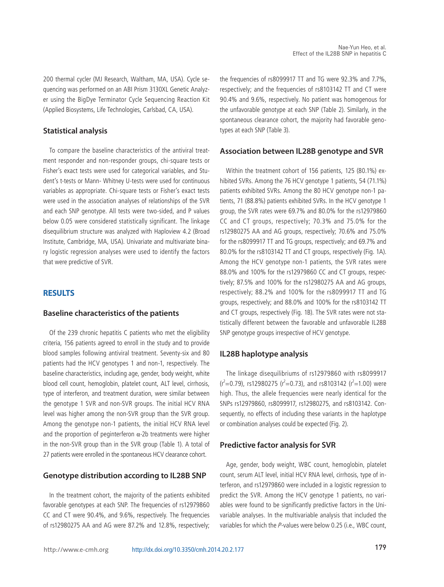200 thermal cycler (MJ Research, Waltham, MA, USA). Cycle sequencing was performed on an ABI Prism 3130XL Genetic Analyzer using the BigDye Terminator Cycle Sequencing Reaction Kit (Applied Biosystems, Life Technologies, Carlsbad, CA, USA).

## **Statistical analysis**

To compare the baseline characteristics of the antiviral treatment responder and non-responder groups, chi-square tests or Fisher's exact tests were used for categorical variables, and Student's t-tests or Mann- Whitney U-tests were used for continuous variables as appropriate. Chi-square tests or Fisher's exact tests were used in the association analyses of relationships of the SVR and each SNP genotype. All tests were two-sided, and P values below 0.05 were considered statistically significant. The linkage disequilibrium structure was analyzed with Haploview 4.2 (Broad Institute, Cambridge, MA, USA). Univariate and multivariate binary logistic regression analyses were used to identify the factors that were predictive of SVR.

#### **RESULTS**

#### **Baseline characteristics of the patients**

Of the 239 chronic hepatitis C patients who met the eligibility criteria, 156 patients agreed to enroll in the study and to provide blood samples following antiviral treatment. Seventy-six and 80 patients had the HCV genotypes 1 and non-1, respectively. The baseline characteristics, including age, gender, body weight, white blood cell count, hemoglobin, platelet count, ALT level, cirrhosis, type of interferon, and treatment duration, were similar between the genotype 1 SVR and non-SVR groups. The initial HCV RNA level was higher among the non-SVR group than the SVR group. Among the genotype non-1 patients, the initial HCV RNA level and the proportion of peginterferon  $\alpha$ -2b treatments were higher in the non-SVR group than in the SVR group (Table 1). A total of 27 patients were enrolled in the spontaneous HCV clearance cohort.

#### **Genotype distribution according to IL28B SNP**

In the treatment cohort, the majority of the patients exhibited favorable genotypes at each SNP. The frequencies of rs12979860 CC and CT were 90.4%, and 9.6%, respectively. The frequencies of rs12980275 AA and AG were 87.2% and 12.8%, respectively; the frequencies of rs8099917 TT and TG were 92.3% and 7.7%, respectively; and the frequencies of rs8103142 TT and CT were 90.4% and 9.6%, respectively. No patient was homogenous for the unfavorable genotype at each SNP (Table 2). Similarly, in the spontaneous clearance cohort, the majority had favorable genotypes at each SNP (Table 3).

#### **Association between IL28B genotype and SVR**

Within the treatment cohort of 156 patients, 125 (80.1%) exhibited SVRs. Among the 76 HCV genotype 1 patients, 54 (71.1%) patients exhibited SVRs. Among the 80 HCV genotype non-1 patients, 71 (88.8%) patients exhibited SVRs. In the HCV genotype 1 group, the SVR rates were 69.7% and 80.0% for the rs12979860 CC and CT groups, respectively; 70.3% and 75.0% for the rs12980275 AA and AG groups, respectively; 70.6% and 75.0% for the rs8099917 TT and TG groups, respectively; and 69.7% and 80.0% for the rs8103142 TT and CT groups, respectively (Fig. 1A). Among the HCV genotype non-1 patients, the SVR rates were 88.0% and 100% for the rs12979860 CC and CT groups, respectively; 87.5% and 100% for the rs12980275 AA and AG groups, respectively; 88.2% and 100% for the rs8099917 TT and TG groups, respectively; and 88.0% and 100% for the rs8103142 TT and CT groups, respectively (Fig. 1B). The SVR rates were not statistically different between the favorable and unfavorable IL28B SNP genotype groups irrespective of HCV genotype.

#### **IL28B haplotype analysis**

The linkage disequilibriums of rs12979860 with rs8099917  $(r<sup>2</sup>=0.79)$ , rs12980275 ( $r<sup>2</sup>=0.73$ ), and rs8103142 ( $r<sup>2</sup>=1.00$ ) were high. Thus, the allele frequencies were nearly identical for the SNPs rs12979860, rs8099917, rs12980275, and rs8103142. Consequently, no effects of including these variants in the haplotype or combination analyses could be expected (Fig. 2).

#### **Predictive factor analysis for SVR**

Age, gender, body weight, WBC count, hemoglobin, platelet count, serum ALT level, initial HCV RNA level, cirrhosis, type of interferon, and rs12979860 were included in a logistic regression to predict the SVR. Among the HCV genotype 1 patients, no variables were found to be significantly predictive factors in the Univariable analyses. In the multivariable analysis that included the variables for which the P-values were below 0.25 (i.e., WBC count,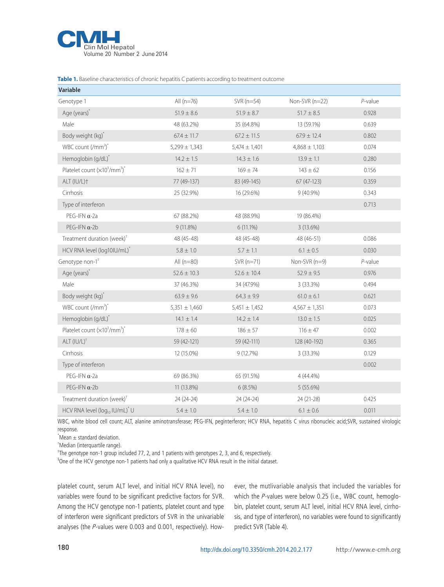

**Table 1.** Baseline characteristics of chronic hepatitis C patients according to treatment outcome

| Variable                                               |                   |                   |                   |            |
|--------------------------------------------------------|-------------------|-------------------|-------------------|------------|
| Genotype 1                                             | All $(n=76)$      | SVR (n=54)        | Non-SVR (n=22)    | $P$ -value |
| Age (years)*                                           | $51.9 \pm 8.6$    | $51.9 \pm 8.7$    | $51.7 \pm 8.5$    | 0.928      |
| Male                                                   | 48 (63.2%)        | 35 (64.8%)        | 13 (59.1%)        | 0.639      |
| Body weight (kg)*                                      | $67.4 \pm 11.7$   | $67.2 \pm 11.5$   | $67.9 \pm 12.4$   | 0.802      |
| WBC count $\frac{1}{m}$ <sup>3</sup>                   | $5,299 \pm 1,343$ | $5,474 \pm 1,401$ | $4,868 \pm 1,103$ | 0.074      |
| Hemoglobin (g/dL)*                                     | $14.2 \pm 1.5$    | $14.3 \pm 1.6$    | $13.9 \pm 1.1$    | 0.280      |
| Platelet count $(x10^3/\text{mm}^3)^*$                 | $162 \pm 71$      | $169 \pm 74$      | $143 \pm 62$      | 0.156      |
| ALT (IU/L)+                                            | 77 (49-137)       | 83 (49-145)       | 67 (47-123)       | 0.359      |
| Cirrhosis                                              | 25 (32.9%)        | 16 (29.6%)        | $9(40.9\%)$       | 0.343      |
| Type of interferon                                     |                   |                   |                   | 0.713      |
| PEG-IFN $\alpha$ -2a                                   | 67 (88.2%)        | 48 (88.9%)        | 19 (86.4%)        |            |
| PEG-IFN $\alpha$ -2b                                   | $9(11.8\%)$       | 6 (11.1%)         | 3 (13.6%)         |            |
| Treatment duration (week) <sup>†</sup>                 | 48 (45-48)        | 48 (45-48)        | 48 (46-51)        | 0.086      |
| HCV RNA level (log10IU/mL)*                            | $5.8 \pm 1.0$     | $5.7 \pm 1.1$     | $6.1 \pm 0.5$     | 0.030      |
| Genotype non-1 <sup>#</sup>                            | All $(n=80)$      | $SVR(n=71)$       | Non-SVR $(n=9)$   | $P$ -value |
| Age (years)*                                           | $52.6 \pm 10.3$   | $52.6 \pm 10.4$   | $52.9 \pm 9.5$    | 0.976      |
| Male                                                   | 37 (46.3%)        | 34 (47.9%)        | 3 (33.3%)         | 0.494      |
| Body weight (kg)*                                      | $63.9 \pm 9.6$    | $64.3 \pm 9.9$    | $61.0 \pm 6.1$    | 0.621      |
| WBC count $\frac{1}{m}$ <sup>3</sup>                   | $5,351 \pm 1,460$ | $5,451 \pm 1,452$ | $4,567 \pm 1,351$ | 0.073      |
| Hemoglobin (g/dL)*                                     | $14.1 \pm 1.4$    | $14.2 \pm 1.4$    | $13.0 \pm 1.5$    | 0.025      |
| Platelet count $(x10^3/\text{mm}^3)^*$                 | $178\pm60$        | $186 \pm 57$      | $116 \pm 47$      | 0.002      |
| $ALT (IU/L)^{\dagger}$                                 | 59 (42-121)       | 59 (42-111)       | 128 (40-192)      | 0.365      |
| Cirrhosis                                              | 12 (15.0%)        | 9(12.7%)          | 3 (33.3%)         | 0.129      |
| Type of interferon                                     |                   |                   |                   | 0.002      |
| PEG-IFN $\alpha$ -2a                                   | 69 (86.3%)        | 65 (91.5%)        | 4 (44.4%)         |            |
| PEG-IFN $\alpha$ -2b                                   | 11 (13.8%)        | 6(8.5%)           | 5(55.6%)          |            |
| Treatment duration (week) <sup>†</sup>                 | 24 (24-24)        | 24 (24-24)        | 24 (21-28)        | 0.425      |
| HCV RNA level (log <sub>10</sub> IU/mL) <sup>*</sup> U | $5.4 \pm 1.0$     | $5.4 \pm 1.0$     | $6.1 \pm 0.6$     | 0.011      |

WBC, white blood cell count; ALT, alanine aminotransferase; PEG-IFN, peginterferon; HCV RNA, hepatitis C virus ribonucleic acid;SVR, sustained virologic response.

 $*$ Mean  $\pm$  standard deviation.

† Median (interquartile range).

‡ The genotype non-1 group included 77, 2, and 1 patients with genotypes 2, 3, and 6, respectively.

§ One of the HCV genotype non-1 patients had only a qualitative HCV RNA result in the initial dataset.

platelet count, serum ALT level, and initial HCV RNA level), no variables were found to be significant predictive factors for SVR. Among the HCV genotype non-1 patients, platelet count and type of interferon were significant predictors of SVR in the univariable analyses (the P-values were 0.003 and 0.001, respectively). However, the mutlivariable analysis that included the variables for which the P-values were below 0.25 (i.e., WBC count, hemoglobin, platelet count, serum ALT level, initial HCV RNA level, cirrhosis, and type of interferon), no variables were found to significantly predict SVR (Table 4).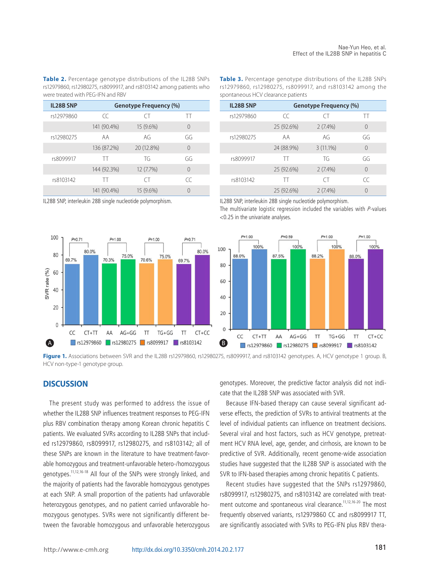**Table 2.** Percentage genotype distributions of the IL28B SNPs rs12979860, rs12980275, rs8099917, and rs8103142 among patients who were treated with PEG-IFN and RBV

| <b>IL28B SNP</b> | Genotype Frequency (%) |            |          |  |
|------------------|------------------------|------------|----------|--|
| rs12979860       | $\subset$              | CT)        | ТT       |  |
|                  | 141 (90.4%)            | 15 (9.6%)  | 0        |  |
| rs12980275       | АA                     | AG         | GG       |  |
|                  | 136 (87.2%)            | 20 (12.8%) | $\Omega$ |  |
| rs8099917        | TT                     | TG         | GG       |  |
|                  | 144 (92.3%)            | 12 (7.7%)  | $\Omega$ |  |
| rs8103142        | TT                     | CT)        | CC       |  |
|                  | 141 (90.4%)            | 15 (9.6%)  | 0        |  |

**Table 3.** Percentage genotype distributions of the IL28B SNPs rs12979860, rs12980275, rs8099917, and rs8103142 among the spontaneous HCV clearance patients

| <b>IL28B SNP</b> | Genotype Frequency (%) |             |          |  |
|------------------|------------------------|-------------|----------|--|
| rs12979860       | CC                     | СT          | TT       |  |
|                  | 25 (92.6%)             | $2(7.4\%)$  | $\Omega$ |  |
| rs12980275       | AА                     | AG          | GG       |  |
|                  | 24 (88.9%)             | $3(11.1\%)$ | $\Omega$ |  |
| rs8099917        | TT                     | TG          | GG       |  |
|                  | 25 (92.6%)             | $2(7.4\%)$  | $\Omega$ |  |
| rs8103142        | TT                     | CT          | CC       |  |
|                  | 25 (92.6%)             | $2(7.4\%)$  | 0        |  |

IL28B SNP, interleukin 28B single nucleotide polymorphism.



IL28B SNP, interleukin 28B single nucleotide polymorphism. The multivariate logistic regression included the variables with  $P$ -values

<0.25 in the univariate analyses.



Figure 1. Associations between SVR and the IL28B rs12979860, rs12980275, rs8099917, and rs8103142 genotypes. A, HCV genotype 1 group. B, HCV non-type-1 genotype group.

#### **DISCUSSION**

The present study was performed to address the issue of whether the IL28B SNP influences treatment responses to PEG-IFN plus RBV combination therapy among Korean chronic hepatitis C patients. We evaluated SVRs according to IL28B SNPs that included rs12979860, rs8099917, rs12980275, and rs8103142; all of these SNPs are known in the literature to have treatment-favorable homozygous and treatment-unfavorable hetero-/homozygous genotypes.11,12,16-18 All four of the SNPs were strongly linked, and the majority of patients had the favorable homozygous genotypes at each SNP. A small proportion of the patients had unfavorable heterozygous genotypes, and no patient carried unfavorable homozygous genotypes. SVRs were not significantly different between the favorable homozygous and unfavorable heterozygous

genotypes. Moreover, the predictive factor analysis did not indicate that the IL28B SNP was associated with SVR.

Because IFN-based therapy can cause several significant adverse effects, the prediction of SVRs to antiviral treatments at the level of individual patients can influence on treatment decisions. Several viral and host factors, such as HCV genotype, pretreatment HCV RNA level, age, gender, and cirrhosis, are known to be predictive of SVR. Additionally, recent genome-wide association studies have suggested that the IL28B SNP is associated with the SVR to IFN-based therapies among chronic hepatitis C patients.

Recent studies have suggested that the SNPs rs12979860, rs8099917, rs12980275, and rs8103142 are correlated with treatment outcome and spontaneous viral clearance.<sup>11,12,16-20</sup> The most frequently observed variants, rs12979860 CC and rs8099917 TT, are significantly associated with SVRs to PEG-IFN plus RBV thera-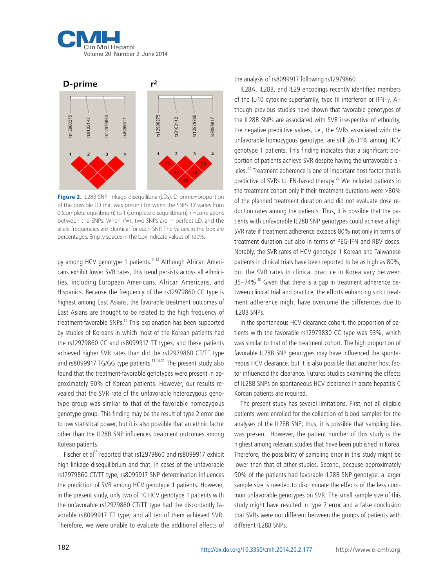



**Figure 2.** IL28B SNP linkage disequilibria (LDs). D-prime=proportion of the possible LD that was present between the SNPs. D' varies from 0 (complete equilibrium) to 1 (complete disequilibrium).  $\hat{r}$ =correlations between the SNPs. When  $r^2=1$ , two SNPs are in perfect LD, and the allele frequencies are identical for each SNP. The values in the box are percentages. Empty spaces in the box indicate values of 100%.

py among HCV genotype 1 patients.<sup>11,12</sup> Although African Americans exhibit lower SVR rates, this trend persists across all ethnicities, including European Americans, African Americans, and Hispanics. Because the frequency of the rs12979860 CC type is highest among East Asians, the favorable treatment outcomes of East Asians are thought to be related to the high frequency of treatment-favorable SNPs.<sup>11</sup> This explanation has been supported by studies of Koreans in which most of the Korean patients had the rs12979860 CC and rs8099917 TT types, and these patients achieved higher SVR rates than did the rs12979860 CT/TT type and rs8099917 TG/GG type patients.<sup>13,14,21</sup> The present study also found that the treatment-favorable genotypes were present in approximately 90% of Korean patients. However, our results revealed that the SVR rate of the unfavorable heterozygous genotype group was similar to that of the favorable homozygous genotype group. This finding may be the result of type 2 error due to low statistical power, but it is also possible that an ethnic factor other than the IL28B SNP influences treatment outcomes among Korean patients.

Fischer et al<sup>15</sup> reported that rs12979860 and rs8099917 exhibit high linkage disequilibrium and that, in cases of the unfavorable rs12979860 CT/TT type, rs8099917 SNP determination influences the prediction of SVR among HCV genotype 1 patients. However, in the present study, only two of 10 HCV genotype 1 patients with the unfavorable rs12979860 CT/TT type had the discordantly favorable rs8099917 TT type, and all ten of them achieved SVR. Therefore, we were unable to evaluate the additional effects of the analysis of rs8099917 following rs12979860.

IL28A, IL28B, and IL29 encodings recently identified members of the IL-10 cytokine superfamily, type III interferon or IFN-γ. Although previous studies have shown that favorable genotypes of the IL28B SNPs are associated with SVR irrespective of ethnicity, the negative predictive values, i.e., the SVRs associated with the unfavorable homozygous genotype, are still 26-31% among HCV genotype 1 patients. This finding indicates that a significant proportion of patients achieve SVR despite having the unfavorable alleles.22 Treatment adherence is one of important host factor that is predictive of SVRs to IFN-based therapy.<sup>23</sup> We included patients in the treatment cohort only if their treatment durations were ≥80% of the planned treatment duration and did not evaluate dose reduction rates among the patients. Thus, it is possible that the patients with unfavorable IL28B SNP genotypes could achieve a high SVR rate if treatment adherence exceeds 80% not only in terms of treatment duration but also in terms of PEG-IFN and RBV doses. Notably, the SVR rates of HCV genotype 1 Korean and Taiwanese patients in clinical trials have been reported to be as high as 80%, but the SVR rates in clinical practice in Korea vary between  $35 - 74\%$ .<sup>10</sup> Given that there is a gap in treatment adherence between clinical trial and practice, the efforts enhancing strict treatment adherence might have overcome the differences due to IL28B SNPs.

In the spontaneous HCV clearance cohort, the proportion of patients with the favorable rs12979830 CC type was 93%, which was similar to that of the treatment cohort. The high proportion of favorable IL28B SNP genotypes may have influenced the spontaneous HCV clearance, but it is also possible that another host factor influenced the clearance. Futures studies examining the effects of IL28B SNPs on spontaneous HCV clearance in acute hepatitis C Korean patients are required.

The present study has several limitations. First, not all eligible patients were enrolled for the collection of blood samples for the analyses of the IL28B SNP; thus, it is possible that sampling bias was present. However, the patient number of this study is the highest among relevant studies that have been published in Korea. Therefore, the possibility of sampling error in this study might be lower than that of other studies. Second, because approximately 90% of the patients had favorable IL28B SNP genotype, a larger sample size is needed to discriminate the effects of the less common unfavorable genotypes on SVR. The small sample size of this study might have resulted in type 2 error and a false conclusion that SVRs were not different between the groups of patients with different II 28B SNPs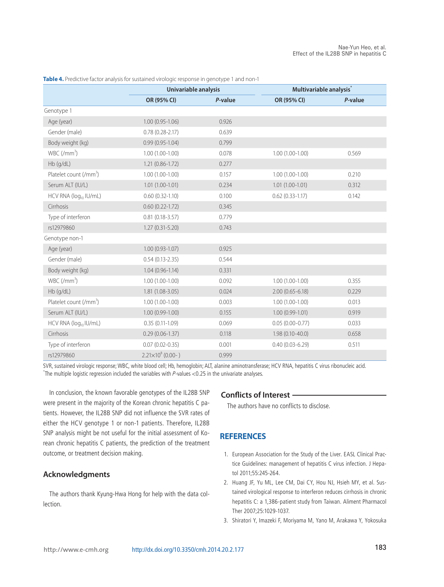|                                    | Univariable analysis |         | Multivariable analysis <sup>*</sup> |         |
|------------------------------------|----------------------|---------|-------------------------------------|---------|
|                                    | OR (95% CI)          | P-value | OR (95% CI)                         | P-value |
| Genotype 1                         |                      |         |                                     |         |
| Age (year)                         | $1.00(0.95 - 1.06)$  | 0.926   |                                     |         |
| Gender (male)                      | $0.78(0.28 - 2.17)$  | 0.639   |                                     |         |
| Body weight (kg)                   | $0.99(0.95 - 1.04)$  | 0.799   |                                     |         |
| $WBC/(mm^3)$                       | $1.00(1.00-1.00)$    | 0.078   | $1.00(1.00-1.00)$                   | 0.569   |
| Hb (g/dL)                          | $1.21(0.86 - 1.72)$  | 0.277   |                                     |         |
| Platelet count (/mm <sup>3</sup> ) | $1.00(1.00-1.00)$    | 0.157   | $1.00(1.00-1.00)$                   | 0.210   |
| Serum ALT (IU/L)                   | $1.01(1.00-1.01)$    | 0.234   | $1.01(1.00-1.01)$                   | 0.312   |
| HCV RNA (log <sub>10</sub> IU/mL)  | $0.60(0.32-1.10)$    | 0.100   | $0.62$ $(0.33 - 1.17)$              | 0.142   |
| Cirrhosis                          | $0.60(0.22 - 1.72)$  | 0.345   |                                     |         |
| Type of interferon                 | $0.81(0.18-3.57)$    | 0.779   |                                     |         |
| rs12979860                         | $1.27(0.31-5.20)$    | 0.743   |                                     |         |
| Genotype non-1                     |                      |         |                                     |         |
| Age (year)                         | $1.00(0.93-1.07)$    | 0.925   |                                     |         |
| Gender (male)                      | $0.54(0.13 - 2.35)$  | 0.544   |                                     |         |
| Body weight (kg)                   | $1.04(0.96 - 1.14)$  | 0.331   |                                     |         |
| $WBC/(mm^3)$                       | $1.00(1.00-1.00)$    | 0.092   | $1.00(1.00-1.00)$                   | 0.355   |
| Hb (g/dL)                          | $1.81(1.08-3.05)$    | 0.024   | $2.00(0.65 - 6.18)$                 | 0.229   |
| Platelet count (/mm <sup>3</sup> ) | $1.00(1.00-1.00)$    | 0.003   | $1.00(1.00-1.00)$                   | 0.013   |
| Serum ALT (IU/L)                   | $1.00(0.99-1.00)$    | 0.155   | $1.00(0.99 - 1.01)$                 | 0.919   |
| HCV RNA (log <sub>10</sub> IU/mL)  | $0.35(0.11-1.09)$    | 0.069   | $0.05(0.00-0.77)$                   | 0.033   |
| Cirrhosis                          | $0.29(0.06-1.37)$    | 0.118   | $1.98(0.10-40.0)$                   | 0.658   |
| Type of interferon                 | $0.07(0.02 - 0.35)$  | 0.001   | $0.40(0.03 - 6.29)$                 | 0.511   |

**Table 4.** Predictive factor analysis for sustained virologic response in genotype 1 and non-1

SVR, sustained virologic response; WBC, white blood cell; Hb, hemoglobin; ALT, alanine aminotransferase; HCV RNA, hepatitis C virus ribonucleic acid. \* The multiple logistic regression included the variables with P-values <0.25 in the univariate analyses.

 $2.21 \times 10^8$  (0.00-) 0.999

In conclusion, the known favorable genotypes of the IL28B SNP were present in the majority of the Korean chronic hepatitis C patients. However, the IL28B SNP did not influence the SVR rates of either the HCV genotype 1 or non-1 patients. Therefore, IL28B SNP analysis might be not useful for the initial assessment of Korean chronic hepatitis C patients, the prediction of the treatment outcome, or treatment decision making.

## **Acknowledgments**

rs12979860

The authors thank Kyung-Hwa Hong for help with the data collection.

#### **Conflicts of Interest**

The authors have no conflicts to disclose.

#### **REFERENCES**

- 1. European Association for the Study of the Liver. EASL Clinical Practice Guidelines: management of hepatitis C virus infection. J Hepatol 2011;55:245-264.
- 2. Huang JF, Yu ML, Lee CM, Dai CY, Hou NJ, Hsieh MY, et al. Sustained virological response to interferon reduces cirrhosis in chronic hepatitis C: a 1,386-patient study from Taiwan. Aliment Pharmacol Ther 2007;25:1029-1037.
- 3. Shiratori Y, Imazeki F, Moriyama M, Yano M, Arakawa Y, Yokosuka